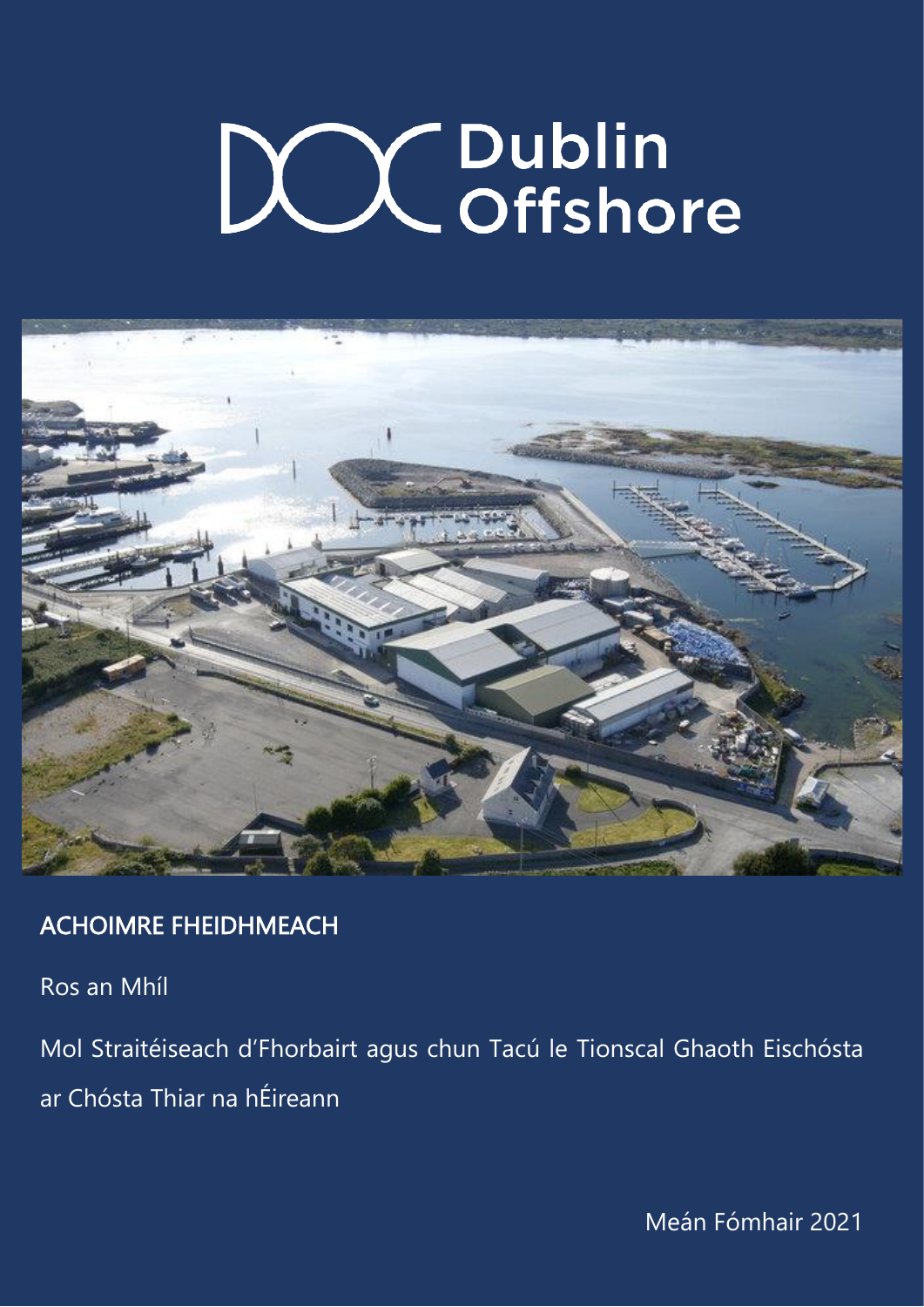

Ros an Mhíl

Mol Straitéiseach d'Fhorbairt agus chun Tacú le Tionscal Ghaoth Eischósta ar Chósta Thiar na hÉireann

0 Meán Fómhair 2021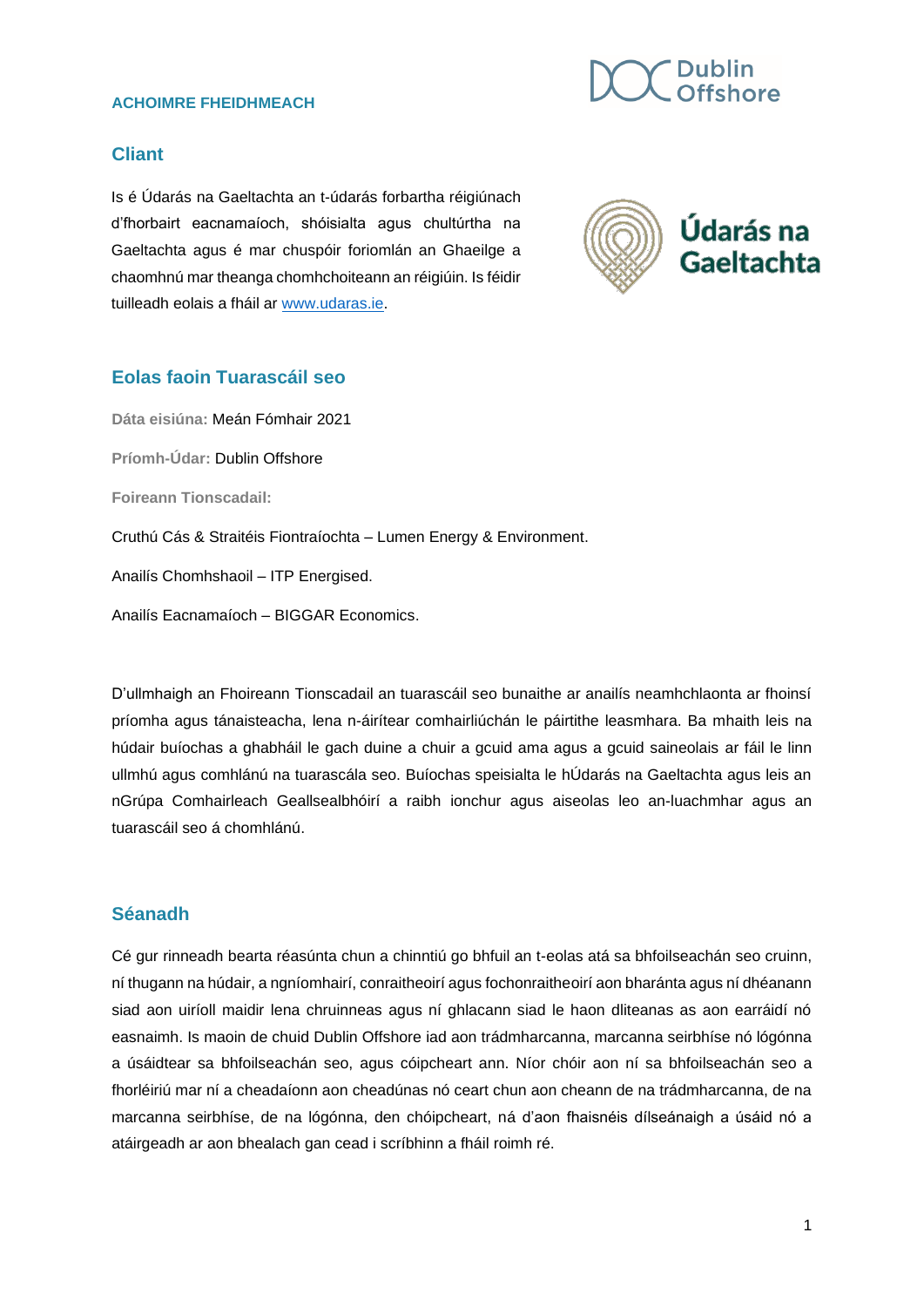### **Cliant**

Is é Údarás na Gaeltachta an t-údarás forbartha réigiúnach d'fhorbairt eacnamaíoch, shóisialta agus chultúrtha na Gaeltachta agus é mar chuspóir foriomlán an Ghaeilge a chaomhnú mar theanga chomhchoiteann an réigiúin. Is féidir tuilleadh eolais a fháil ar [www.udaras.ie.](http://www.udaras.ie/)

### **Eolas faoin Tuarascáil seo**

**Dáta eisiúna:** Meán Fómhair 2021 **Príomh-Údar:** Dublin Offshore **Foireann Tionscadail:** Cruthú Cás & Straitéis Fiontraíochta – Lumen Energy & Environment. Anailís Chomhshaoil – ITP Energised.

Anailís Eacnamaíoch – BIGGAR Economics.

D'ullmhaigh an Fhoireann Tionscadail an tuarascáil seo bunaithe ar anailís neamhchlaonta ar fhoinsí príomha agus tánaisteacha, lena n-áirítear comhairliúchán le páirtithe leasmhara. Ba mhaith leis na húdair buíochas a ghabháil le gach duine a chuir a gcuid ama agus a gcuid saineolais ar fáil le linn ullmhú agus comhlánú na tuarascála seo. Buíochas speisialta le hÚdarás na Gaeltachta agus leis an nGrúpa Comhairleach Geallsealbhóirí a raibh ionchur agus aiseolas leo an-luachmhar agus an tuarascáil seo á chomhlánú.

### **Séanadh**

Cé gur rinneadh bearta réasúnta chun a chinntiú go bhfuil an t-eolas atá sa bhfoilseachán seo cruinn, ní thugann na húdair, a ngníomhairí, conraitheoirí agus fochonraitheoirí aon bharánta agus ní dhéanann siad aon uiríoll maidir lena chruinneas agus ní ghlacann siad le haon dliteanas as aon earráidí nó easnaimh. Is maoin de chuid Dublin Offshore iad aon trádmharcanna, marcanna seirbhíse nó lógónna a úsáidtear sa bhfoilseachán seo, agus cóipcheart ann. Níor chóir aon ní sa bhfoilseachán seo a fhorléiriú mar ní a cheadaíonn aon cheadúnas nó ceart chun aon cheann de na trádmharcanna, de na marcanna seirbhíse, de na lógónna, den chóipcheart, ná d'aon fhaisnéis dílseánaigh a úsáid nó a atáirgeadh ar aon bhealach gan cead i scríbhinn a fháil roimh ré.



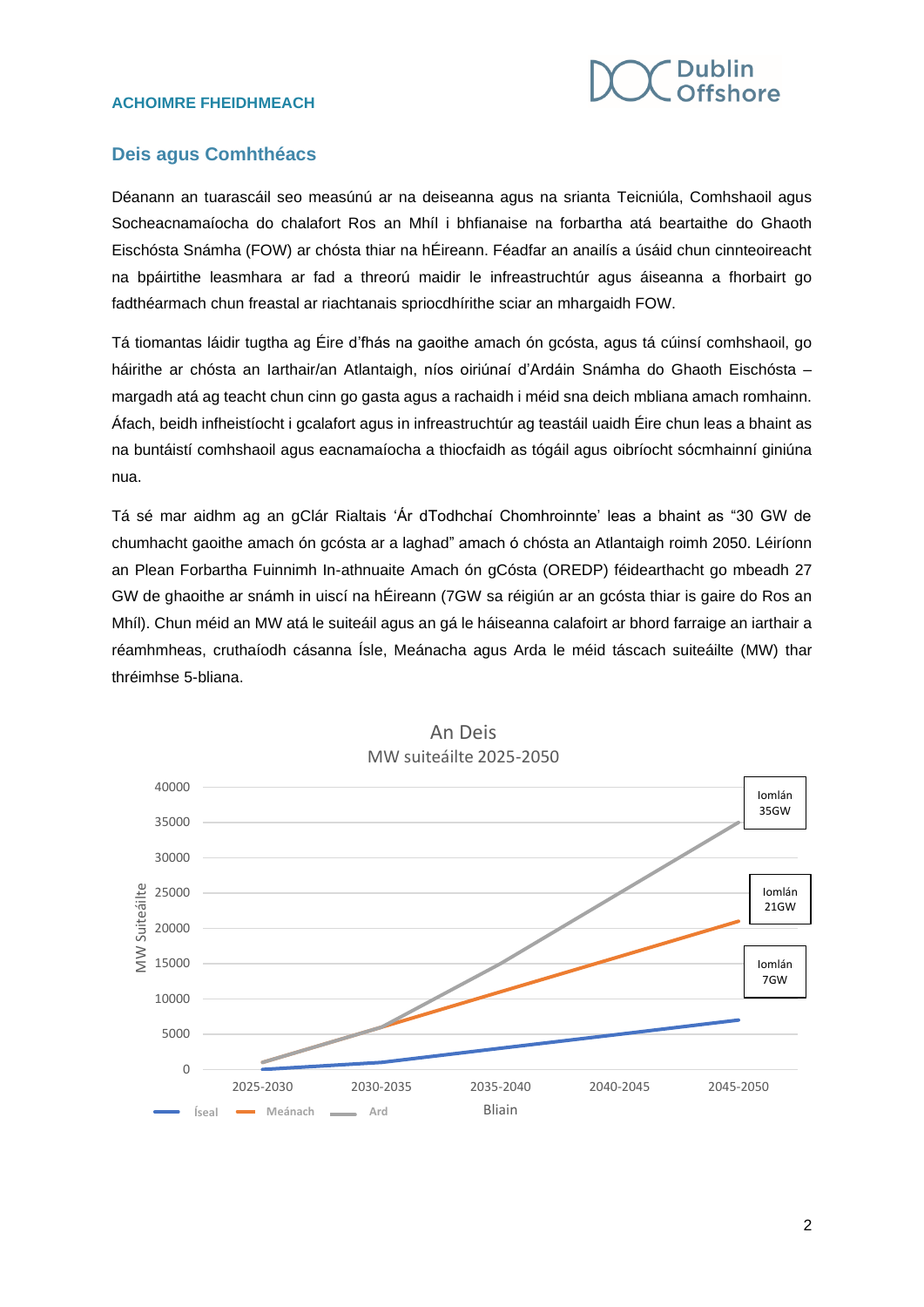

### **Deis agus Comhthéacs**

Déanann an tuarascáil seo measúnú ar na deiseanna agus na srianta Teicniúla, Comhshaoil agus Socheacnamaíocha do chalafort Ros an Mhíl i bhfianaise na forbartha atá beartaithe do Ghaoth Eischósta Snámha (FOW) ar chósta thiar na hÉireann. Féadfar an anailís a úsáid chun cinnteoireacht na bpáirtithe leasmhara ar fad a threorú maidir le infreastruchtúr agus áiseanna a fhorbairt go fadthéarmach chun freastal ar riachtanais spriocdhírithe sciar an mhargaidh FOW.

Tá tiomantas láidir tugtha ag Éire d'fhás na gaoithe amach ón gcósta, agus tá cúinsí comhshaoil, go háirithe ar chósta an Iarthair/an Atlantaigh, níos oiriúnaí d'Ardáin Snámha do Ghaoth Eischósta – margadh atá ag teacht chun cinn go gasta agus a rachaidh i méid sna deich mbliana amach romhainn. Áfach, beidh infheistíocht i gcalafort agus in infreastruchtúr ag teastáil uaidh Éire chun leas a bhaint as na buntáistí comhshaoil agus eacnamaíocha a thiocfaidh as tógáil agus oibríocht sócmhainní giniúna nua.

Tá sé mar aidhm ag an gClár Rialtais 'Ár dTodhchaí Chomhroinnte' leas a bhaint as "30 GW de chumhacht gaoithe amach ón gcósta ar a laghad" amach ó chósta an Atlantaigh roimh 2050. Léiríonn an Plean Forbartha Fuinnimh In-athnuaite Amach ón gCósta (OREDP) féidearthacht go mbeadh 27 GW de ghaoithe ar snámh in uiscí na hÉireann (7GW sa réigiún ar an gcósta thiar is gaire do Ros an Mhíl). Chun méid an MW atá le suiteáil agus an gá le háiseanna calafoirt ar bhord farraige an iarthair a réamhmheas, cruthaíodh cásanna Ísle, Meánacha agus Arda le méid táscach suiteáilte (MW) thar thréimhse 5-bliana.



An Deis MW suiteáilte 2025-2050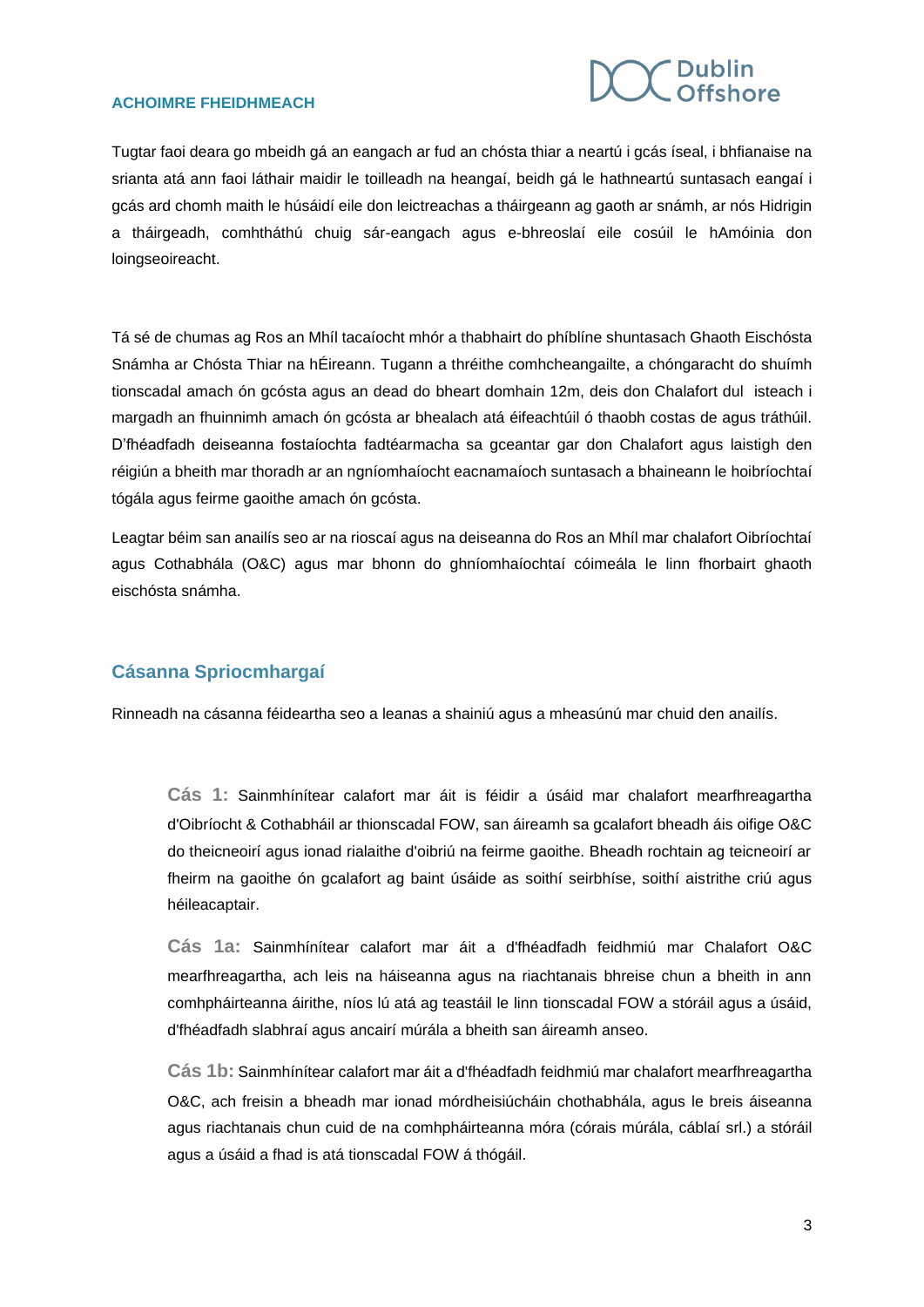

Tugtar faoi deara go mbeidh gá an eangach ar fud an chósta thiar a neartú i gcás íseal, i bhfianaise na srianta atá ann faoi láthair maidir le toilleadh na heangaí, beidh gá le hathneartú suntasach eangaí i gcás ard chomh maith le húsáidí eile don leictreachas a tháirgeann ag gaoth ar snámh, ar nós Hidrigin a tháirgeadh, comhtháthú chuig sár-eangach agus e-bhreoslaí eile cosúil le hAmóinia don loingseoireacht.

Tá sé de chumas ag Ros an Mhíl tacaíocht mhór a thabhairt do phíblíne shuntasach Ghaoth Eischósta Snámha ar Chósta Thiar na hÉireann. Tugann a thréithe comhcheangailte, a chóngaracht do shuímh tionscadal amach ón gcósta agus an dead do bheart domhain 12m, deis don Chalafort dul isteach i margadh an fhuinnimh amach ón gcósta ar bhealach atá éifeachtúil ó thaobh costas de agus tráthúil. D'fhéadfadh deiseanna fostaíochta fadtéarmacha sa gceantar gar don Chalafort agus laistigh den réigiún a bheith mar thoradh ar an ngníomhaíocht eacnamaíoch suntasach a bhaineann le hoibríochtaí tógála agus feirme gaoithe amach ón gcósta.

Leagtar béim san anailís seo ar na rioscaí agus na deiseanna do Ros an Mhíl mar chalafort Oibríochtaí agus Cothabhála (O&C) agus mar bhonn do ghníomhaíochtaí cóimeála le linn fhorbairt ghaoth eischósta snámha.

### **Cásanna Spriocmhargaí**

Rinneadh na cásanna féideartha seo a leanas a shainiú agus a mheasúnú mar chuid den anailís.

**Cás 1:** Sainmhínítear calafort mar áit is féidir a úsáid mar chalafort mearfhreagartha d'Oibríocht & Cothabháil ar thionscadal FOW, san áireamh sa gcalafort bheadh áis oifige O&C do theicneoirí agus ionad rialaithe d'oibriú na feirme gaoithe. Bheadh rochtain ag teicneoirí ar fheirm na gaoithe ón gcalafort ag baint úsáide as soithí seirbhíse, soithí aistrithe criú agus héileacaptair.

**Cás 1a:** Sainmhínítear calafort mar áit a d'fhéadfadh feidhmiú mar Chalafort O&C mearfhreagartha, ach leis na háiseanna agus na riachtanais bhreise chun a bheith in ann comhpháirteanna áirithe, níos lú atá ag teastáil le linn tionscadal FOW a stóráil agus a úsáid, d'fhéadfadh slabhraí agus ancairí múrála a bheith san áireamh anseo.

**Cás 1b:** Sainmhínítear calafort mar áit a d'fhéadfadh feidhmiú mar chalafort mearfhreagartha O&C, ach freisin a bheadh mar ionad mórdheisiúcháin chothabhála, agus le breis áiseanna agus riachtanais chun cuid de na comhpháirteanna móra (córais múrála, cáblaí srl.) a stóráil agus a úsáid a fhad is atá tionscadal FOW á thógáil.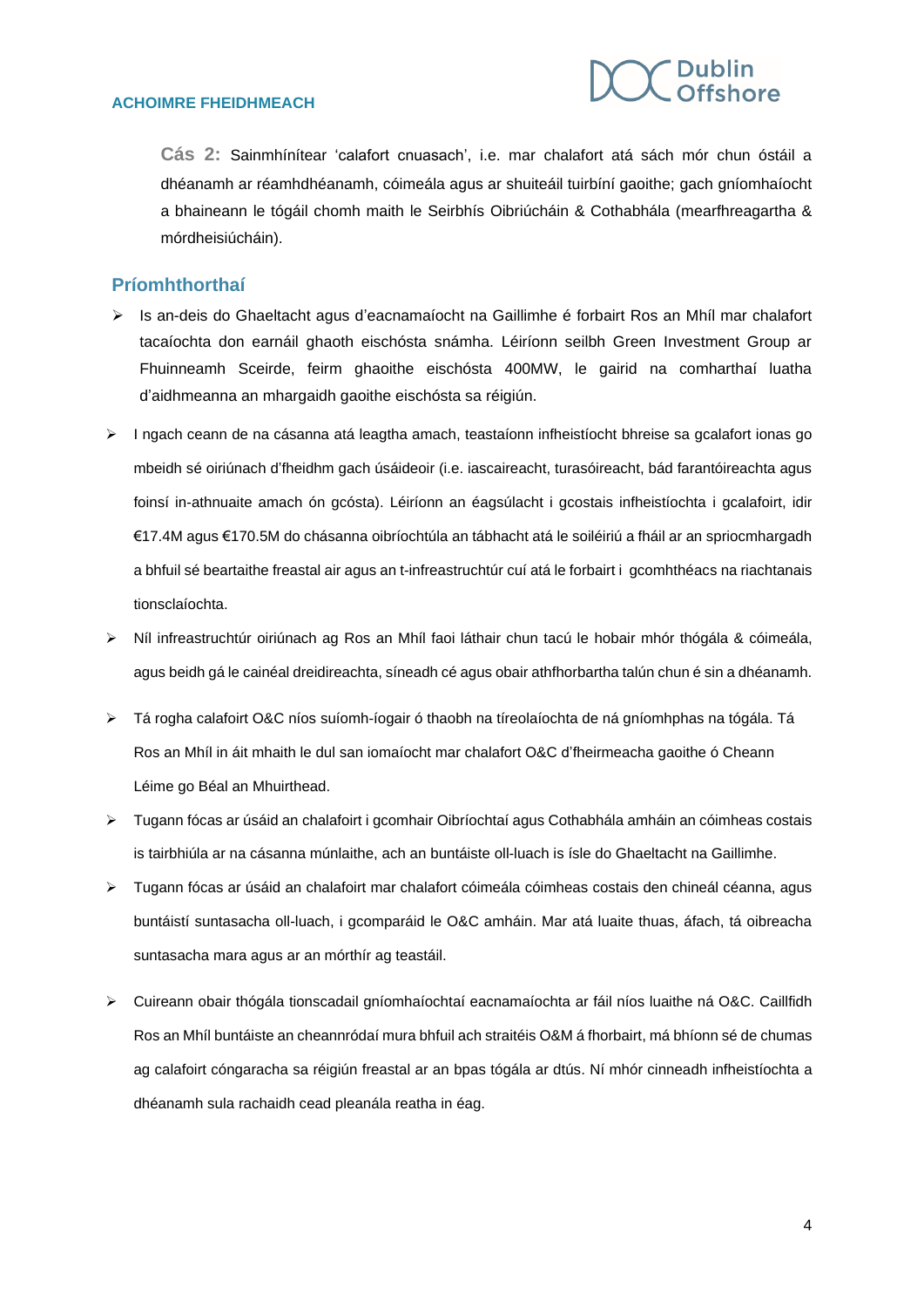

**Cás 2:** Sainmhínítear 'calafort cnuasach', i.e. mar chalafort atá sách mór chun óstáil a dhéanamh ar réamhdhéanamh, cóimeála agus ar shuiteáil tuirbíní gaoithe; gach gníomhaíocht a bhaineann le tógáil chomh maith le Seirbhís Oibriúcháin & Cothabhála (mearfhreagartha & mórdheisiúcháin).

### **Príomhthorthaí**

- ➢ Is an-deis do Ghaeltacht agus d'eacnamaíocht na Gaillimhe é forbairt Ros an Mhíl mar chalafort tacaíochta don earnáil ghaoth eischósta snámha. Léiríonn seilbh Green Investment Group ar Fhuinneamh Sceirde, feirm ghaoithe eischósta 400MW, le gairid na comharthaí luatha d'aidhmeanna an mhargaidh gaoithe eischósta sa réigiún.
- ➢ I ngach ceann de na cásanna atá leagtha amach, teastaíonn infheistíocht bhreise sa gcalafort ionas go mbeidh sé oiriúnach d'fheidhm gach úsáideoir (i.e. iascaireacht, turasóireacht, bád farantóireachta agus foinsí in-athnuaite amach ón gcósta). Léiríonn an éagsúlacht i gcostais infheistíochta i gcalafoirt, idir €17.4M agus €170.5M do chásanna oibríochtúla an tábhacht atá le soiléiriú a fháil ar an spriocmhargadh a bhfuil sé beartaithe freastal air agus an t-infreastruchtúr cuí atá le forbairt i gcomhthéacs na riachtanais tionsclaíochta.
- ➢ Níl infreastruchtúr oiriúnach ag Ros an Mhíl faoi láthair chun tacú le hobair mhór thógála & cóimeála, agus beidh gá le cainéal dreidireachta, síneadh cé agus obair athfhorbartha talún chun é sin a dhéanamh.
- ➢ Tá rogha calafoirt O&C níos suíomh-íogair ó thaobh na tíreolaíochta de ná gníomhphas na tógála. Tá Ros an Mhíl in áit mhaith le dul san iomaíocht mar chalafort O&C d'fheirmeacha gaoithe ó Cheann Léime go Béal an Mhuirthead.
- ➢ Tugann fócas ar úsáid an chalafoirt i gcomhair Oibríochtaí agus Cothabhála amháin an cóimheas costais is tairbhiúla ar na cásanna múnlaithe, ach an buntáiste oll-luach is ísle do Ghaeltacht na Gaillimhe.
- ➢ Tugann fócas ar úsáid an chalafoirt mar chalafort cóimeála cóimheas costais den chineál céanna, agus buntáistí suntasacha oll-luach, i gcomparáid le O&C amháin. Mar atá luaite thuas, áfach, tá oibreacha suntasacha mara agus ar an mórthír ag teastáil.
- ➢ Cuireann obair thógála tionscadail gníomhaíochtaí eacnamaíochta ar fáil níos luaithe ná O&C. Caillfidh Ros an Mhíl buntáiste an cheannródaí mura bhfuil ach straitéis O&M á fhorbairt, má bhíonn sé de chumas ag calafoirt cóngaracha sa réigiún freastal ar an bpas tógála ar dtús. Ní mhór cinneadh infheistíochta a dhéanamh sula rachaidh cead pleanála reatha in éag.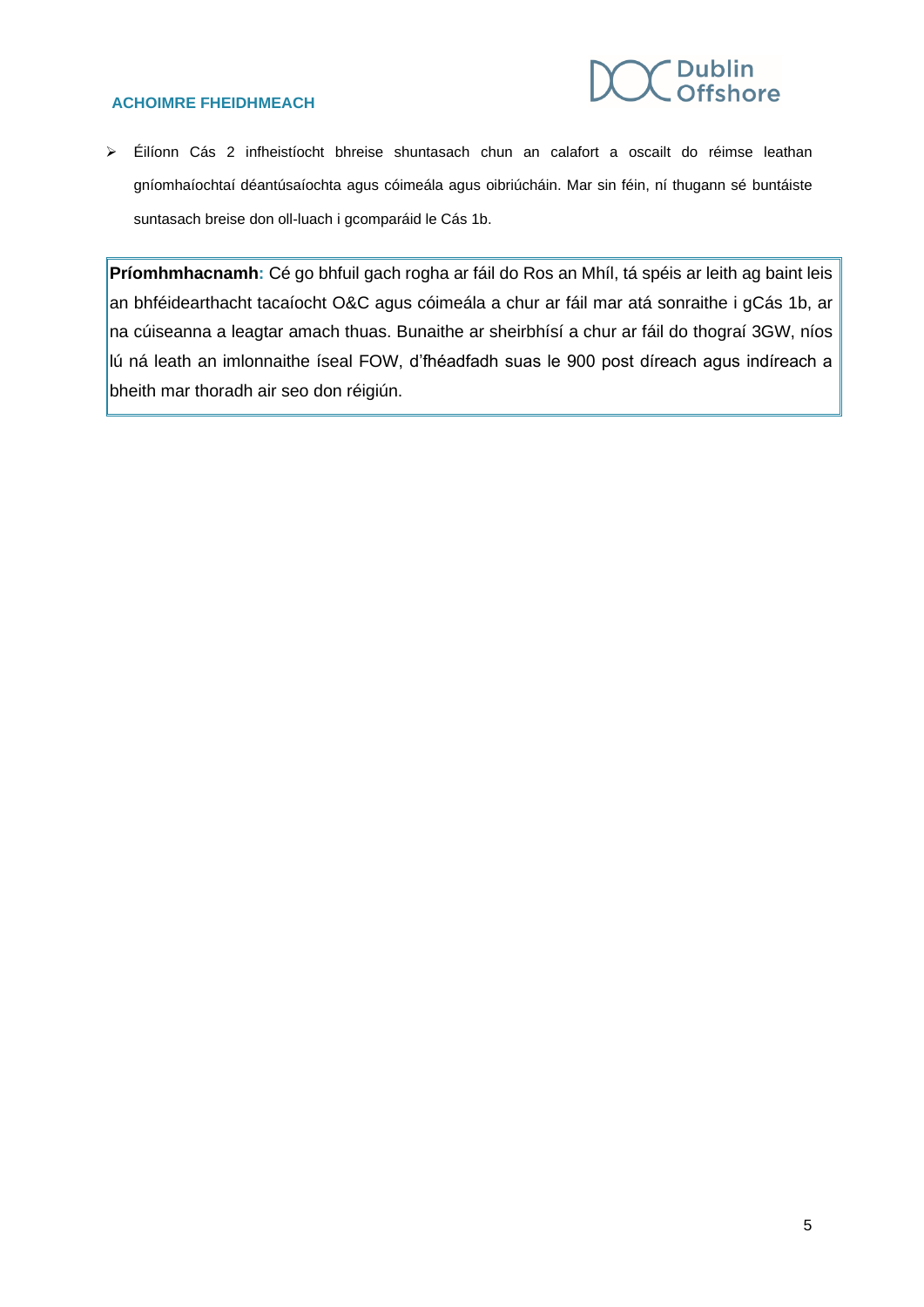### **Dublin Offshore**

### **ACHOIMRE FHEIDHMEACH**

➢ Éilíonn Cás 2 infheistíocht bhreise shuntasach chun an calafort a oscailt do réimse leathan gníomhaíochtaí déantúsaíochta agus cóimeála agus oibriúcháin. Mar sin féin, ní thugann sé buntáiste suntasach breise don oll-luach i gcomparáid le Cás 1b.

**Príomhmhacnamh:** Cé go bhfuil gach rogha ar fáil do Ros an Mhíl, tá spéis ar leith ag baint leis an bhféidearthacht tacaíocht O&C agus cóimeála a chur ar fáil mar atá sonraithe i gCás 1b, ar na cúiseanna a leagtar amach thuas. Bunaithe ar sheirbhísí a chur ar fáil do thograí 3GW, níos lú ná leath an imlonnaithe íseal FOW, d'fhéadfadh suas le 900 post díreach agus indíreach a bheith mar thoradh air seo don réigiún.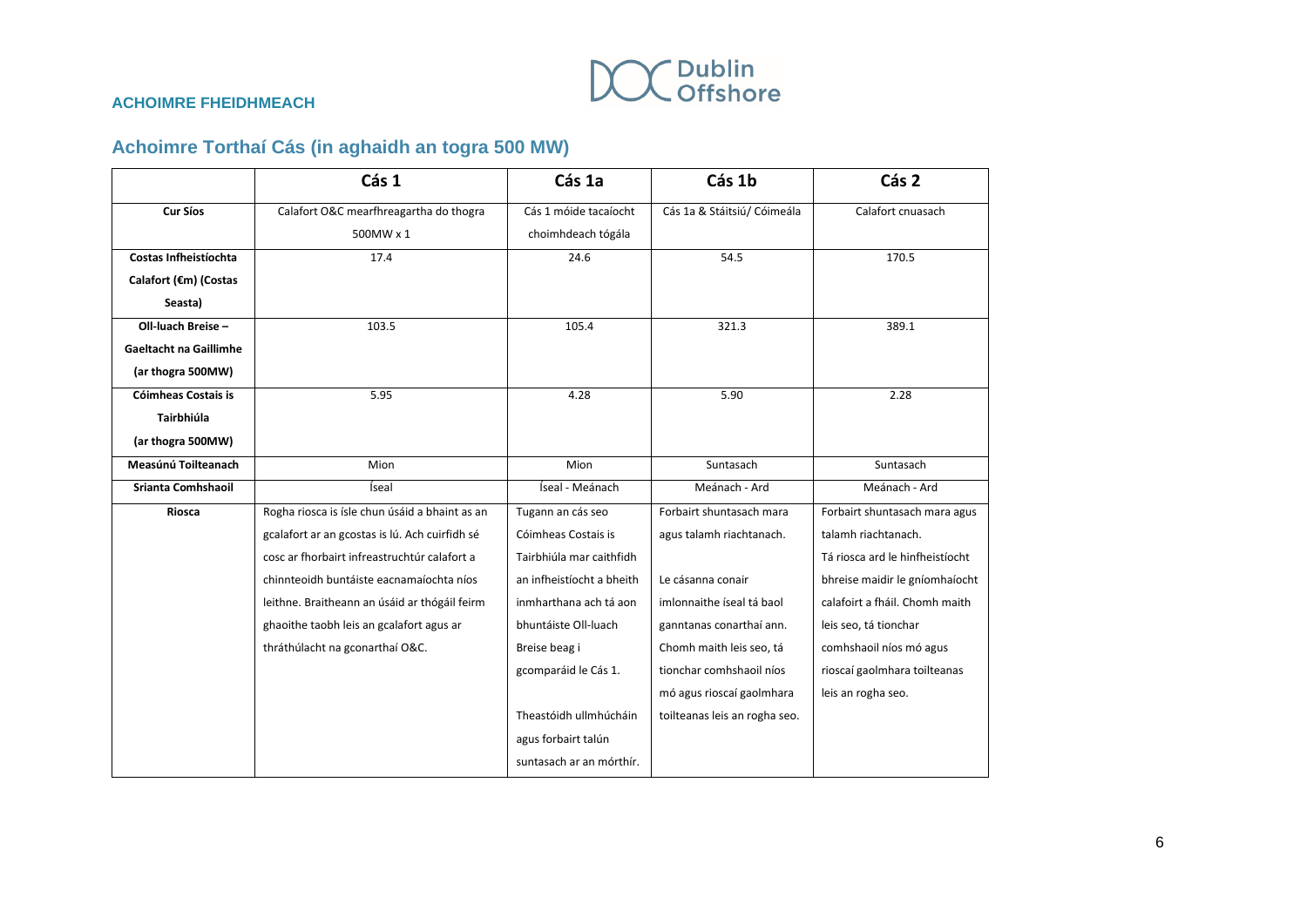

### **Achoimre Torthaí Cás (in aghaidh an togra 500 MW)**

|                               | Cás 1                                          | Cás 1a                    | Cás 1b                        | Cás 2                           |
|-------------------------------|------------------------------------------------|---------------------------|-------------------------------|---------------------------------|
| <b>Cur Síos</b>               | Calafort O&C mearfhreagartha do thogra         | Cás 1 móide tacaíocht     | Cás 1a & Stáitsiú/ Cóimeála   | Calafort cnuasach               |
|                               | 500MW x 1                                      | choimhdeach tógála        |                               |                                 |
| Costas Infheistíochta         | 17.4                                           | 24.6                      | 54.5                          | 170.5                           |
| Calafort (€m) (Costas         |                                                |                           |                               |                                 |
| Seasta)                       |                                                |                           |                               |                                 |
| Oll-luach Breise -            | 103.5                                          | 105.4                     | 321.3                         | 389.1                           |
| <b>Gaeltacht na Gaillimhe</b> |                                                |                           |                               |                                 |
| (ar thogra 500MW)             |                                                |                           |                               |                                 |
| <b>Cóimheas Costais is</b>    | 5.95                                           | 4.28                      | 5.90                          | 2.28                            |
| Tairbhiúla                    |                                                |                           |                               |                                 |
| (ar thogra 500MW)             |                                                |                           |                               |                                 |
| Measúnú Toilteanach           | Mion                                           | Mion                      | Suntasach                     | Suntasach                       |
| Srianta Comhshaoil            | Íseal                                          | Íseal - Meánach           | Meánach - Ard                 | Meánach - Ard                   |
| Riosca                        | Rogha riosca is ísle chun úsáid a bhaint as an | Tugann an cás seo         | Forbairt shuntasach mara      | Forbairt shuntasach mara agus   |
|                               | gcalafort ar an gcostas is lú. Ach cuirfidh sé | Cóimheas Costais is       | agus talamh riachtanach.      | talamh riachtanach.             |
|                               | cosc ar fhorbairt infreastruchtúr calafort a   | Tairbhiúla mar caithfidh  |                               | Tá riosca ard le hinfheistíocht |
|                               | chinnteoidh buntáiste eacnamaíochta níos       | an infheistíocht a bheith | Le cásanna conair             | bhreise maidir le gníomhaíocht  |
|                               | leithne. Braitheann an úsáid ar thógáil feirm  | inmharthana ach tá aon    | imlonnaithe íseal tá baol     | calafoirt a fháil. Chomh maith  |
|                               | ghaoithe taobh leis an gcalafort agus ar       | bhuntáiste Oll-luach      | ganntanas conarthaí ann.      | leis seo, tá tionchar           |
|                               | thráthúlacht na gconarthaí O&C.                | Breise beag i             | Chomh maith leis seo, tá      | comhshaoil níos mó agus         |
|                               |                                                | gcomparáid le Cás 1.      | tionchar comhshaoil níos      | rioscaí gaolmhara toilteanas    |
|                               |                                                |                           | mó agus rioscaí gaolmhara     | leis an rogha seo.              |
|                               |                                                | Theastóidh ullmhúcháin    | toilteanas leis an rogha seo. |                                 |
|                               |                                                | agus forbairt talún       |                               |                                 |
|                               |                                                | suntasach ar an mórthír.  |                               |                                 |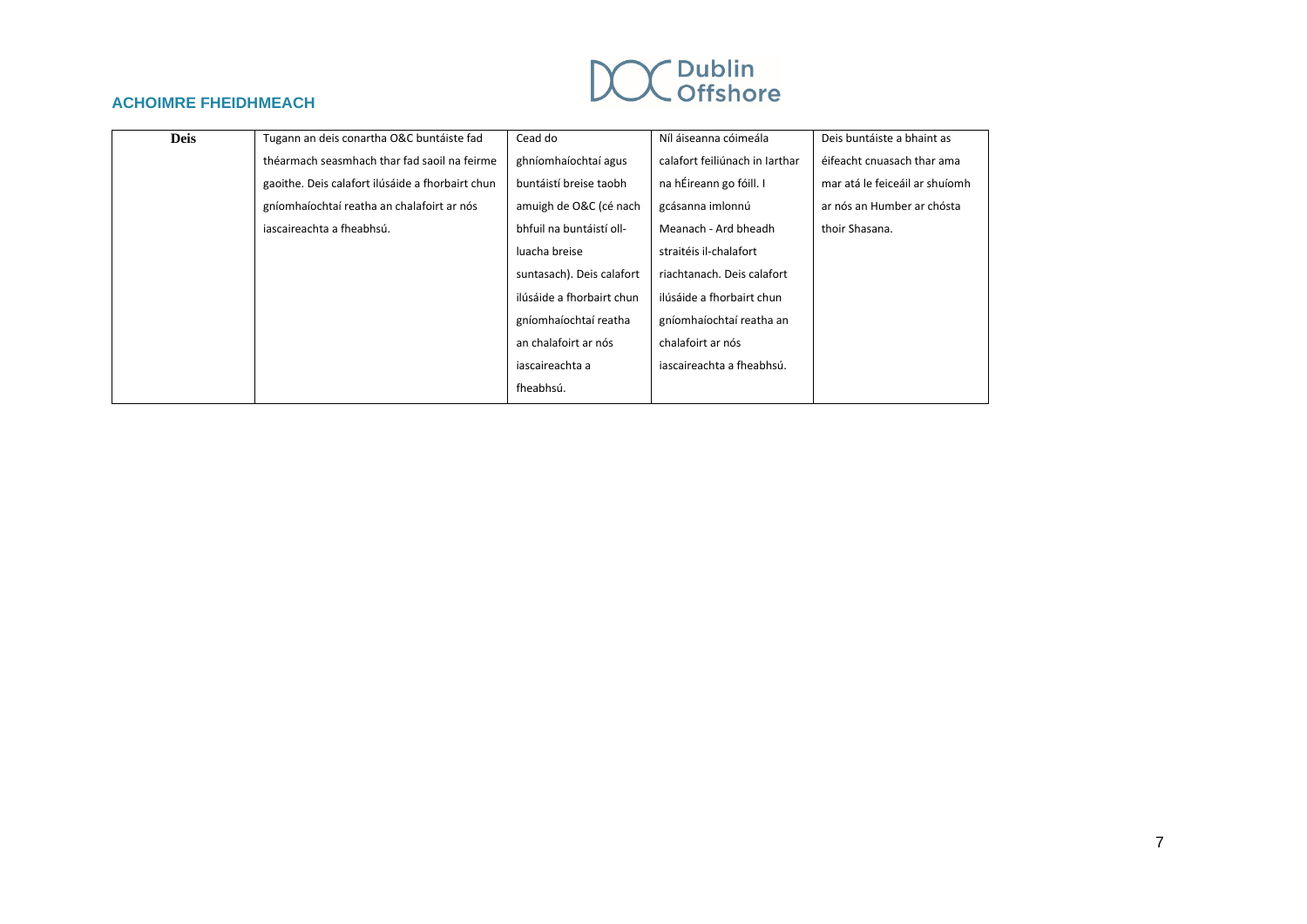## Dublin<br>Offshore

### **ACHOIMRE FHEIDHMEACH**

| <b>Deis</b> | Tugann an deis conartha O&C buntáiste fad        | Cead do                   | Níl áiseanna cóimeála          | Deis buntáiste a bhaint as     |
|-------------|--------------------------------------------------|---------------------------|--------------------------------|--------------------------------|
|             | théarmach seasmhach thar fad saoil na feirme     | ghníomhaíochtaí agus      | calafort feiliúnach in Iarthar | éifeacht cnuasach thar ama     |
|             | gaoithe. Deis calafort ilúsáide a fhorbairt chun | buntáistí breise taobh    | na hÉireann go fóill. I        | mar atá le feiceáil ar shuíomh |
|             | gníomhaíochtaí reatha an chalafoirt ar nós       | amuigh de O&C (cé nach    | gcásanna imlonnú               | ar nós an Humber ar chósta     |
|             | iascaireachta a fheabhsú.                        | bhfuil na buntáistí oll-  | Meanach - Ard bheadh           | thoir Shasana.                 |
|             |                                                  | luacha breise             | straitéis il-chalafort         |                                |
|             |                                                  | suntasach). Deis calafort | riachtanach. Deis calafort     |                                |
|             |                                                  | ilúsáide a fhorbairt chun | ilúsáide a fhorbairt chun      |                                |
|             |                                                  | gníomhaíochtaí reatha     | gníomhaíochtaí reatha an       |                                |
|             |                                                  | an chalafoirt ar nós      | chalafoirt ar nós              |                                |
|             |                                                  | iascaireachta a           | iascaireachta a fheabhsú.      |                                |
|             |                                                  | fheabhsú.                 |                                |                                |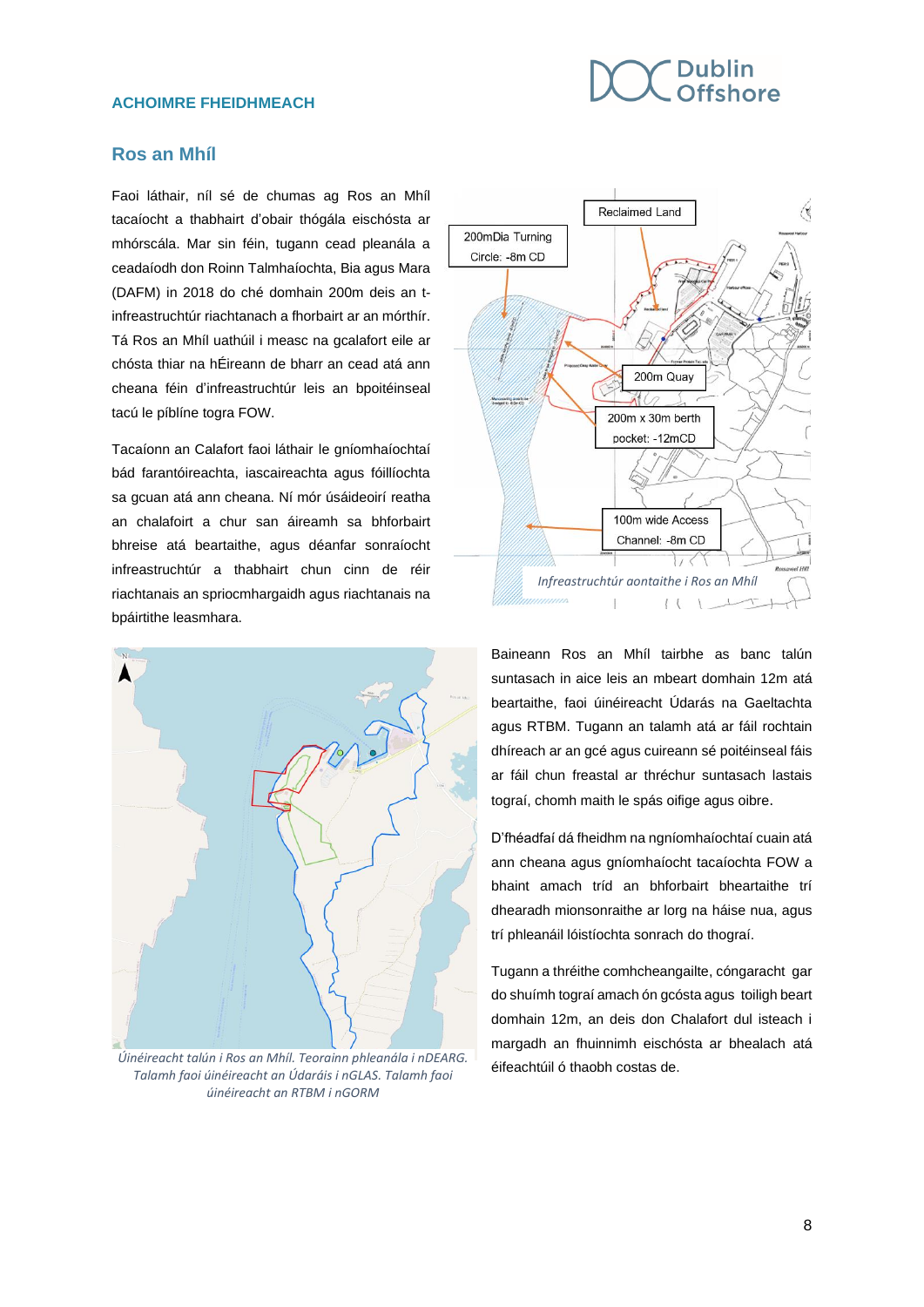### **Dublin Offshore**

### **ACHOIMRE FHEIDHMEACH**

### **Ros an Mhíl**

Faoi láthair, níl sé de chumas ag Ros an Mhíl tacaíocht a thabhairt d'obair thógála eischósta ar mhórscála. Mar sin féin, tugann cead pleanála a ceadaíodh don Roinn Talmhaíochta, Bia agus Mara (DAFM) in 2018 do ché domhain 200m deis an tinfreastruchtúr riachtanach a fhorbairt ar an mórthír. Tá Ros an Mhíl uathúil i measc na gcalafort eile ar chósta thiar na hÉireann de bharr an cead atá ann cheana féin d'infreastruchtúr leis an bpoitéinseal tacú le píblíne togra FOW.

Tacaíonn an Calafort faoi láthair le gníomhaíochtaí bád farantóireachta, iascaireachta agus fóillíochta sa gcuan atá ann cheana. Ní mór úsáideoirí reatha an chalafoirt a chur san áireamh sa bhforbairt bhreise atá beartaithe, agus déanfar sonraíocht infreastruchtúr a thabhairt chun cinn de réir riachtanais an spriocmhargaidh agus riachtanais na bpáirtithe leasmhara.



*Úinéireacht talún i Ros an Mhíl. Teorainn phleanála i nDEARG. Talamh faoi úinéireacht an Údaráis i nGLAS. Talamh faoi úinéireacht an RTBM i nGORM*



Baineann Ros an Mhíl tairbhe as banc talún suntasach in aice leis an mbeart domhain 12m atá beartaithe, faoi úinéireacht Údarás na Gaeltachta agus RTBM. Tugann an talamh atá ar fáil rochtain dhíreach ar an gcé agus cuireann sé poitéinseal fáis ar fáil chun freastal ar thréchur suntasach lastais tograí, chomh maith le spás oifige agus oibre.

D'fhéadfaí dá fheidhm na ngníomhaíochtaí cuain atá ann cheana agus gníomhaíocht tacaíochta FOW a bhaint amach tríd an bhforbairt bheartaithe trí dhearadh mionsonraithe ar lorg na háise nua, agus trí phleanáil lóistíochta sonrach do thograí.

Tugann a thréithe comhcheangailte, cóngaracht gar do shuímh tograí amach ón gcósta agus toiligh beart domhain 12m, an deis don Chalafort dul isteach i margadh an fhuinnimh eischósta ar bhealach atá éifeachtúil ó thaobh costas de.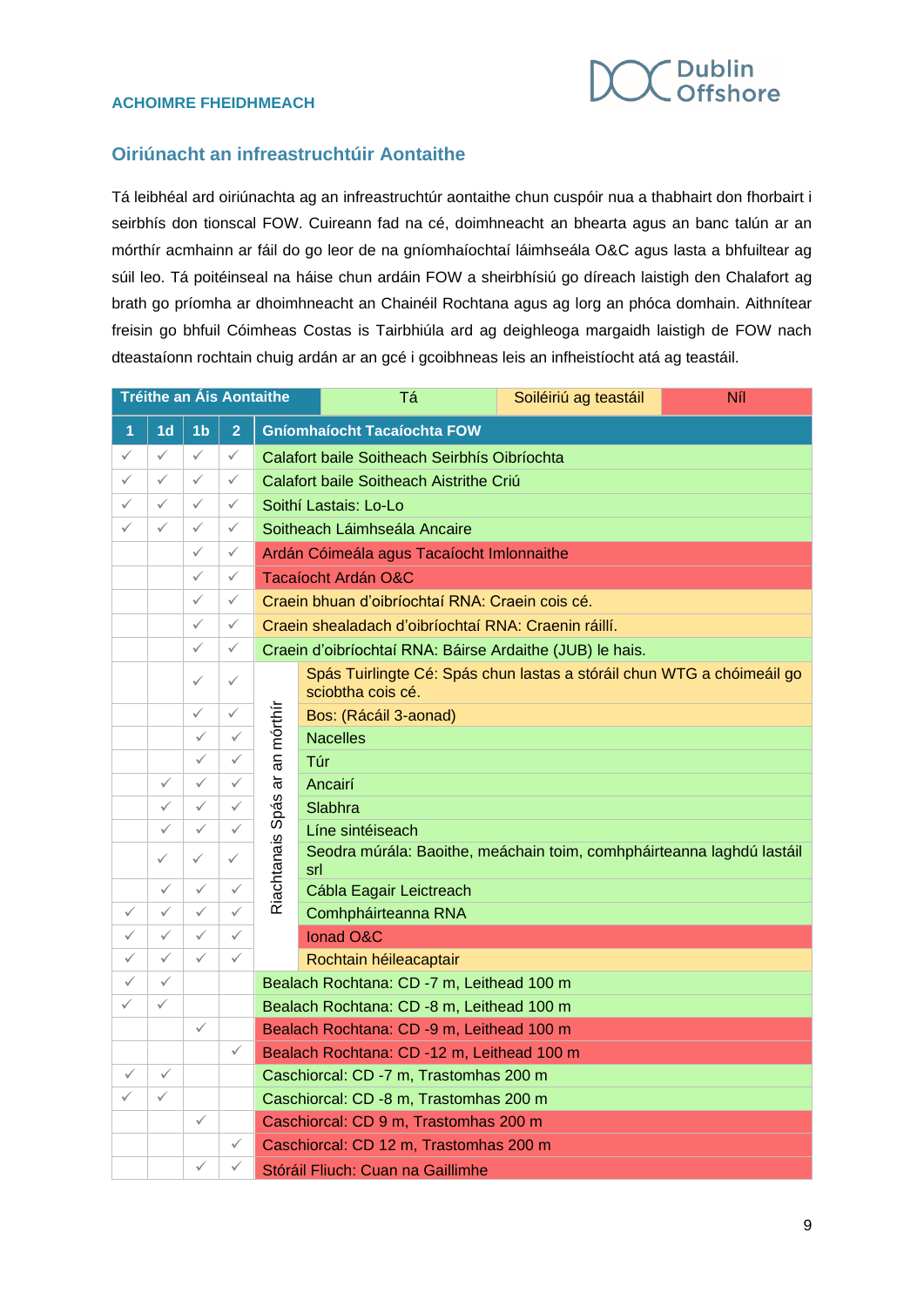

### **Oiriúnacht an infreastruchtúir Aontaithe**

Tá leibhéal ard oiriúnachta ag an infreastruchtúr aontaithe chun cuspóir nua a thabhairt don fhorbairt i seirbhís don tionscal FOW. Cuireann fad na cé, doimhneacht an bhearta agus an banc talún ar an mórthír acmhainn ar fáil do go leor de na gníomhaíochtaí láimhseála O&C agus lasta a bhfuiltear ag súil leo. Tá poitéinseal na háise chun ardáin FOW a sheirbhísiú go díreach laistigh den Chalafort ag brath go príomha ar dhoimhneacht an Chainéil Rochtana agus ag lorg an phóca domhain. Aithnítear freisin go bhfuil Cóimheas Costas is Tairbhiúla ard ag deighleoga margaidh laistigh de FOW nach dteastaíonn rochtain chuig ardán ar an gcé i gcoibhneas leis an infheistíocht atá ag teastáil.

| <b>Tréithe an Àis Aontaithe</b> |                |                | Тá             | Soiléiriú ag teastáil                        | Níl                                                                                         |  |  |  |  |  |
|---------------------------------|----------------|----------------|----------------|----------------------------------------------|---------------------------------------------------------------------------------------------|--|--|--|--|--|
| 1                               | 1 <sub>d</sub> | 1 <sub>b</sub> | $\overline{2}$ | <b>Gníomhaíocht Tacaíochta FOW</b>           |                                                                                             |  |  |  |  |  |
| ✓                               | $\checkmark$   | ✓              | $\checkmark$   | Calafort baile Soitheach Seirbhís Oibríochta |                                                                                             |  |  |  |  |  |
| ✓                               | $\checkmark$   | $\checkmark$   | ✓              |                                              | Calafort baile Soitheach Aistrithe Criu                                                     |  |  |  |  |  |
| ✓                               | $\checkmark$   | $\checkmark$   | $\checkmark$   |                                              | Soithí Lastais: Lo-Lo                                                                       |  |  |  |  |  |
| ✓                               | ✓              | ✓              | $\checkmark$   |                                              | Soitheach Láimhseála Ancaire                                                                |  |  |  |  |  |
|                                 |                | ✓              | $\checkmark$   |                                              | Ardán Cóimeála agus Tacaíocht Imlonnaithe                                                   |  |  |  |  |  |
|                                 |                | $\checkmark$   | $\checkmark$   |                                              | Tacaíocht Ardán O&C                                                                         |  |  |  |  |  |
|                                 |                | ✓              | $\checkmark$   |                                              | Craein bhuan d'oibríochtaí RNA: Craein cois cé.                                             |  |  |  |  |  |
|                                 |                | $\checkmark$   | $\checkmark$   |                                              | Craein shealadach d'oibríochtaí RNA: Craenin ráillí.                                        |  |  |  |  |  |
|                                 |                | ✓              | $\checkmark$   |                                              | Craein d'oibríochtaí RNA: Báirse Ardaithe (JUB) le hais.                                    |  |  |  |  |  |
|                                 |                | ✓              | $\checkmark$   |                                              | Spás Tuirlingte Cé: Spás chun lastas a stóráil chun WTG a chóimeáil go<br>sciobtha cois cé. |  |  |  |  |  |
|                                 |                | $\checkmark$   | $\checkmark$   |                                              | Bos: (Rácáil 3-aonad)                                                                       |  |  |  |  |  |
|                                 |                | ✓              | $\checkmark$   | an mórthír                                   | <b>Nacelles</b>                                                                             |  |  |  |  |  |
|                                 |                | ✓              | $\checkmark$   |                                              | Túr                                                                                         |  |  |  |  |  |
|                                 | ✓              | ✓              | $\checkmark$   | ಹ                                            | Ancairí                                                                                     |  |  |  |  |  |
|                                 | ✓              | ✓              | ✓              | Spás                                         | Slabhra                                                                                     |  |  |  |  |  |
|                                 | $\checkmark$   | ✓              | $\checkmark$   |                                              | Líne sintéiseach                                                                            |  |  |  |  |  |
|                                 | $\checkmark$   | ✓              | $\checkmark$   | Riachtanais                                  | Seodra múrála: Baoithe, meáchain toim, comhpháirteanna laghdú lastáil<br>srl                |  |  |  |  |  |
|                                 | ✓              | ✓              | $\checkmark$   |                                              | Cábla Eagair Leictreach                                                                     |  |  |  |  |  |
| $\checkmark$                    | ✓              | $\checkmark$   | $\checkmark$   |                                              | Comhpháirteanna RNA                                                                         |  |  |  |  |  |
| ✓                               | $\checkmark$   | $\checkmark$   | $\checkmark$   |                                              | <b>Ionad O&amp;C</b>                                                                        |  |  |  |  |  |
| $\checkmark$                    | $\checkmark$   | $\checkmark$   | $\checkmark$   |                                              | Rochtain héileacaptair                                                                      |  |  |  |  |  |
| ✓                               | $\checkmark$   |                |                | Bealach Rochtana: CD -7 m, Leithead 100 m    |                                                                                             |  |  |  |  |  |
| ✓                               | $\checkmark$   |                |                | Bealach Rochtana: CD -8 m, Leithead 100 m    |                                                                                             |  |  |  |  |  |
|                                 |                | $\checkmark$   |                | Bealach Rochtana: CD -9 m, Leithead 100 m    |                                                                                             |  |  |  |  |  |
|                                 |                |                | ✓              | Bealach Rochtana: CD -12 m, Leithead 100 m   |                                                                                             |  |  |  |  |  |
| $\checkmark$                    | $\checkmark$   |                |                |                                              | Caschiorcal: CD -7 m, Trastomhas 200 m                                                      |  |  |  |  |  |
| $\checkmark$                    | ✓              |                |                |                                              | Caschiorcal: CD -8 m, Trastomhas 200 m                                                      |  |  |  |  |  |
|                                 |                | ✓              |                |                                              | Caschiorcal: CD 9 m, Trastomhas 200 m                                                       |  |  |  |  |  |
|                                 |                |                | ✓              | Caschiorcal: CD 12 m, Trastomhas 200 m       |                                                                                             |  |  |  |  |  |
|                                 |                | ✓              | ✓              | Stóráil Fliuch: Cuan na Gaillimhe            |                                                                                             |  |  |  |  |  |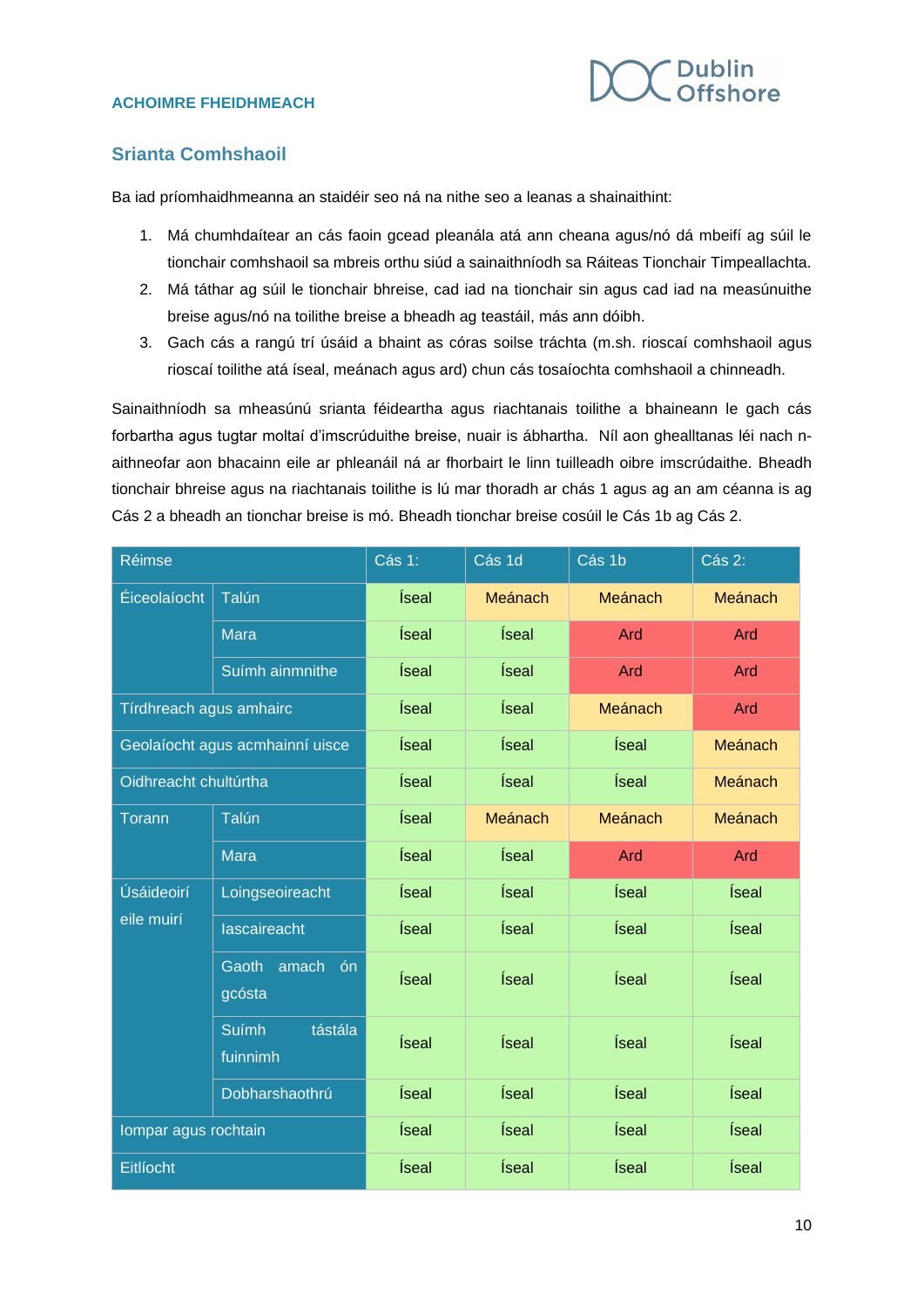

### **Srianta Comhshaoil**

Ba iad príomhaidhmeanna an staidéir seo ná na nithe seo a leanas a shainaithint:

- 1. Má chumhdaítear an cás faoin gcead pleanála atá ann cheana agus/nó dá mbeifí ag súil le tionchair comhshaoil sa mbreis orthu siúd a sainaithníodh sa Ráiteas Tionchair Timpeallachta.
- 2. Má táthar ag súil le tionchair bhreise, cad iad na tionchair sin agus cad iad na measúnuithe breise agus/nó na toilithe breise a bheadh ag teastáil, más ann dóibh.
- 3. Gach cás a rangú trí úsáid a bhaint as córas soilse tráchta (m.sh. rioscaí comhshaoil agus rioscaí toilithe atá íseal, meánach agus ard) chun cás tosaíochta comhshaoil a chinneadh.

Sainaithníodh sa mheasúnú srianta féideartha agus riachtanais toilithe a bhaineann le gach cás forbartha agus tugtar moltaí d'imscrúduithe breise, nuair is ábhartha. Níl aon ghealltanas léi nach naithneofar aon bhacainn eile ar phleanáil ná ar fhorbairt le linn tuilleadh oibre imscrúdaithe. Bheadh tionchair bhreise agus na riachtanais toilithe is lú mar thoradh ar chás 1 agus ag an am céanna is ag Cás 2 a bheadh an tionchar breise is mó. Bheadh tionchar breise cosúil le Cás 1b ag Cás 2.

| <b>Réimse</b>                   |                                     | Cás 1:       | Cás 1d  | Cás 1b  | Cás 2:  |
|---------------------------------|-------------------------------------|--------------|---------|---------|---------|
| Éiceolaíocht                    | Talún                               | Íseal        | Meánach | Meánach | Meánach |
|                                 | <b>Mara</b>                         | Íseal        | Íseal   | Ard     | Ard     |
|                                 | Suímh ainmnithe                     | Íseal        | Íseal   | Ard     | Ard     |
| Tírdhreach agus amhairc         |                                     | Íseal        | Íseal   | Meánach | Ard     |
| Geolaíocht agus acmhainní uisce |                                     | Íseal        | Íseal   | Íseal   | Meánach |
| Oidhreacht chultúrtha           |                                     | Íseal        | Íseal   | Íseal   | Meánach |
| Torann                          | Talún                               | Íseal        | Meánach | Meánach | Meánach |
|                                 | <b>Mara</b>                         | Íseal        | Íseal   | Ard     | Ard     |
| Úsáideoirí<br>eile muirí        | Loingseoireacht                     | Íseal        | Íseal   | Íseal   | Íseal   |
|                                 | lascaireacht                        | Íseal        | Íseal   | Íseal   | Íseal   |
|                                 | Gaoth<br>amach<br>ón<br>gcósta      | Íseal        | Íseal   | Íseal   | Íseal   |
|                                 | tástála<br><b>Suímh</b><br>fuinnimh | Íseal        | Íseal   | Íseal   | Íseal   |
|                                 | Dobharshaothrú                      | <i>Íseal</i> | Íseal   | Íseal   | Íseal   |
| Iompar agus rochtain            |                                     | Íseal        | Íseal   | Íseal   | Íseal   |
| Eitlíocht                       |                                     | Íseal        | Íseal   | Íseal   | Íseal   |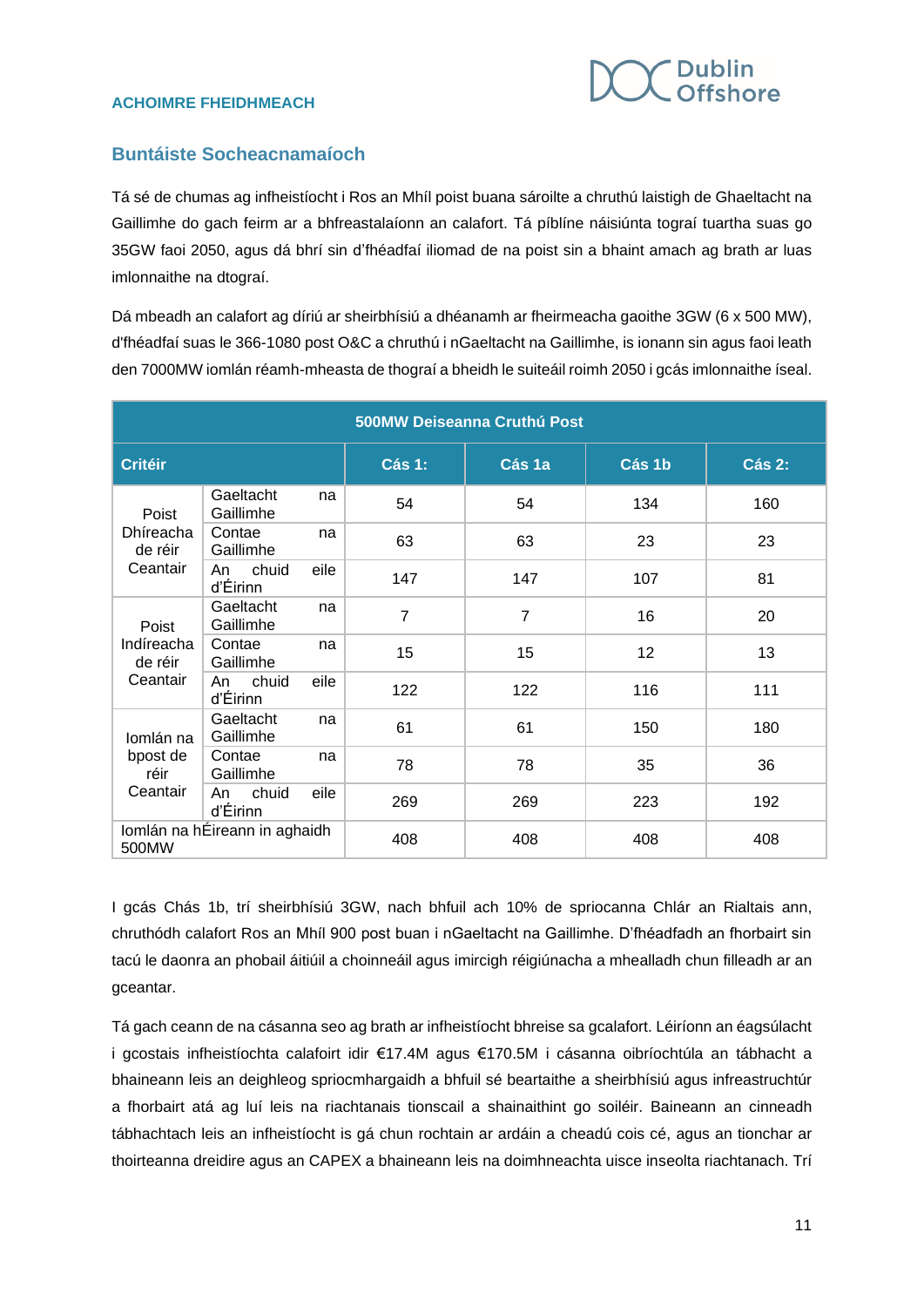

### **Buntáiste Socheacnamaíoch**

Tá sé de chumas ag infheistíocht i Ros an Mhíl poist buana sároilte a chruthú laistigh de Ghaeltacht na Gaillimhe do gach feirm ar a bhfreastalaíonn an calafort. Tá píblíne náisiúnta tograí tuartha suas go 35GW faoi 2050, agus dá bhrí sin d'fhéadfaí iliomad de na poist sin a bhaint amach ag brath ar luas imlonnaithe na dtograí.

Dá mbeadh an calafort ag díriú ar sheirbhísiú a dhéanamh ar fheirmeacha gaoithe 3GW (6 x 500 MW), d'fhéadfaí suas le 366-1080 post O&C a chruthú i nGaeltacht na Gaillimhe, is ionann sin agus faoi leath den 7000MW iomlán réamh-mheasta de thograí a bheidh le suiteáil roimh 2050 i gcás imlonnaithe íseal.

| 500MW Deiseanna Cruthú Post                |                         |      |                |        |        |        |  |  |
|--------------------------------------------|-------------------------|------|----------------|--------|--------|--------|--|--|
| <b>Critéir</b>                             |                         |      | <b>Cás 1:</b>  | Cás 1a | Cás 1b | Cás 2: |  |  |
| Poist<br>Dhíreacha<br>de réir<br>Ceantair  | Gaeltacht<br>Gaillimhe  | na   | 54             | 54     | 134    | 160    |  |  |
|                                            | Contae<br>Gaillimhe     | na   | 63             | 63     | 23     | 23     |  |  |
|                                            | chuid<br>An<br>d'Éirinn | eile | 147            | 147    | 107    | 81     |  |  |
| Poist<br>Indíreacha<br>de réir<br>Ceantair | Gaeltacht<br>Gaillimhe  | na   | $\overline{7}$ | 7      | 16     | 20     |  |  |
|                                            | Contae<br>Gaillimhe     | na   | 15             | 15     | 12     | 13     |  |  |
|                                            | chuid<br>An<br>d'Éirinn | eile | 122            | 122    | 116    | 111    |  |  |
| Iomlán na<br>bpost de<br>réir<br>Ceantair  | Gaeltacht<br>Gaillimhe  | na   | 61             | 61     | 150    | 180    |  |  |
|                                            | Contae<br>Gaillimhe     | na   | 78             | 78     | 35     | 36     |  |  |
|                                            | chuid<br>An<br>d'Éirinn | eile | 269            | 269    | 223    | 192    |  |  |
| Iomlán na hÉireann in aghaidh<br>500MW     |                         |      | 408            | 408    | 408    | 408    |  |  |

I gcás Chás 1b, trí sheirbhísiú 3GW, nach bhfuil ach 10% de spriocanna Chlár an Rialtais ann, chruthódh calafort Ros an Mhíl 900 post buan i nGaeltacht na Gaillimhe. D'fhéadfadh an fhorbairt sin tacú le daonra an phobail áitiúil a choinneáil agus imircigh réigiúnacha a mhealladh chun filleadh ar an gceantar.

Tá gach ceann de na cásanna seo ag brath ar infheistíocht bhreise sa gcalafort. Léiríonn an éagsúlacht i gcostais infheistíochta calafoirt idir €17.4M agus €170.5M i cásanna oibríochtúla an tábhacht a bhaineann leis an deighleog spriocmhargaidh a bhfuil sé beartaithe a sheirbhísiú agus infreastruchtúr a fhorbairt atá ag luí leis na riachtanais tionscail a shainaithint go soiléir. Baineann an cinneadh tábhachtach leis an infheistíocht is gá chun rochtain ar ardáin a cheadú cois cé, agus an tionchar ar thoirteanna dreidire agus an CAPEX a bhaineann leis na doimhneachta uisce inseolta riachtanach. Trí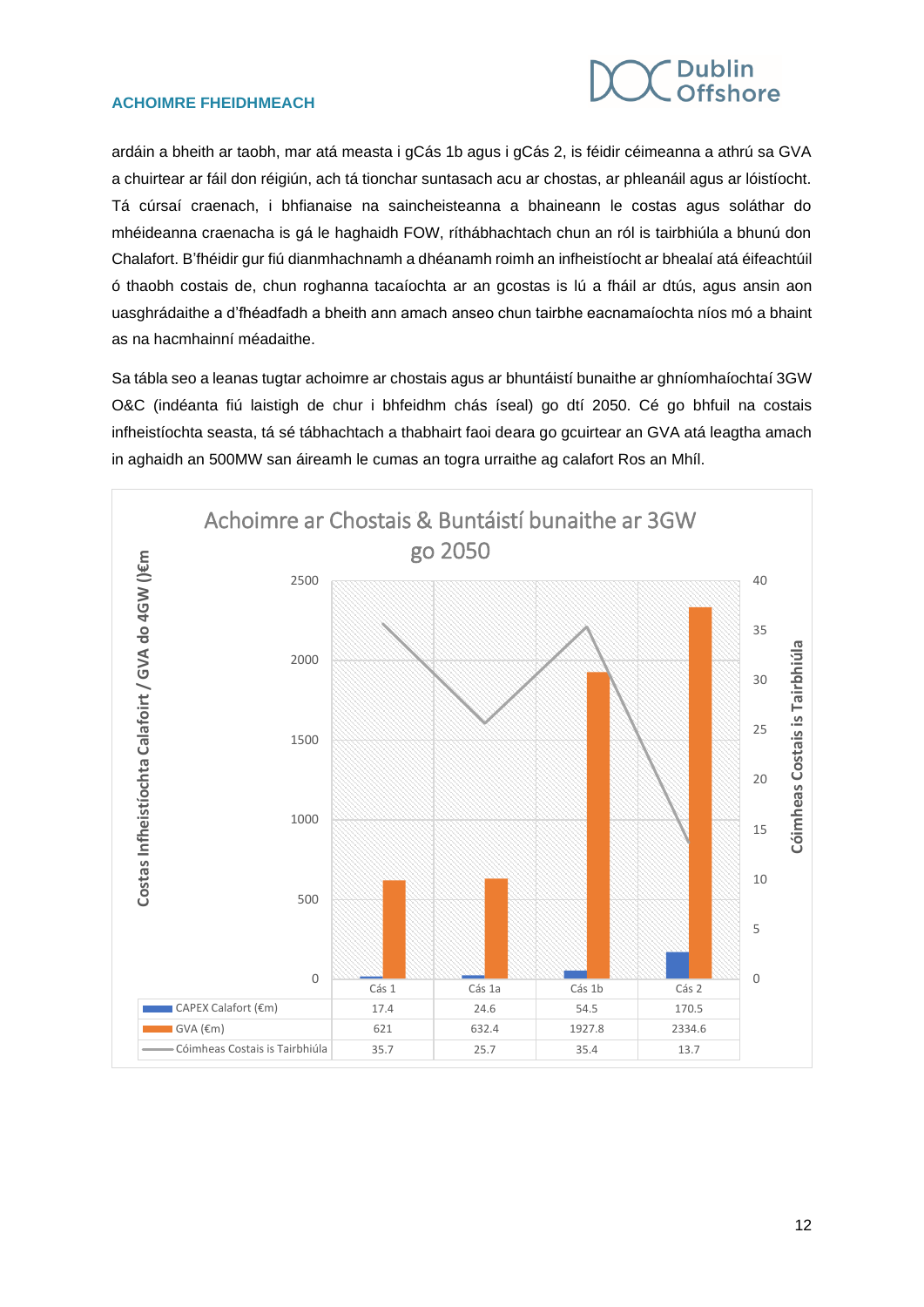

ardáin a bheith ar taobh, mar atá measta i gCás 1b agus i gCás 2, is féidir céimeanna a athrú sa GVA a chuirtear ar fáil don réigiún, ach tá tionchar suntasach acu ar chostas, ar phleanáil agus ar lóistíocht. Tá cúrsaí craenach, i bhfianaise na saincheisteanna a bhaineann le costas agus soláthar do mhéideanna craenacha is gá le haghaidh FOW, ríthábhachtach chun an ról is tairbhiúla a bhunú don Chalafort. B'fhéidir gur fiú dianmhachnamh a dhéanamh roimh an infheistíocht ar bhealaí atá éifeachtúil ó thaobh costais de, chun roghanna tacaíochta ar an gcostas is lú a fháil ar dtús, agus ansin aon uasghrádaithe a d'fhéadfadh a bheith ann amach anseo chun tairbhe eacnamaíochta níos mó a bhaint as na hacmhainní méadaithe.

Sa tábla seo a leanas tugtar achoimre ar chostais agus ar bhuntáistí bunaithe ar ghníomhaíochtaí 3GW O&C (indéanta fiú laistigh de chur i bhfeidhm chás íseal) go dtí 2050. Cé go bhfuil na costais infheistíochta seasta, tá sé tábhachtach a thabhairt faoi deara go gcuirtear an GVA atá leagtha amach in aghaidh an 500MW san áireamh le cumas an togra urraithe ag calafort Ros an Mhíl.